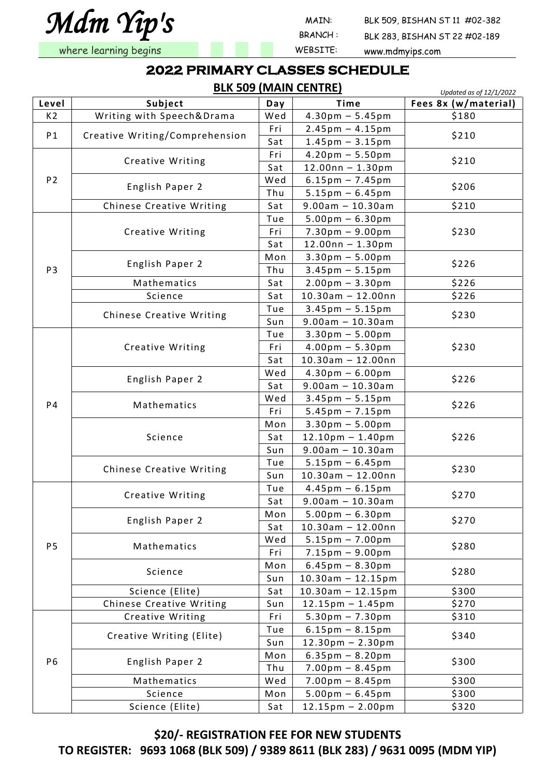*Mdm Yip's* 

BRANCH :

MAIN: BLK 509, BISHAN ST 11 #02-382

BLK 283, BISHAN ST 22 #02-189

where learning begins and the state of the MEBSITE: www.mdmyips.com

#### **2022 PRIMARY CLASSES SCHEDULE**

**BLK 509 (MAIN CENTRE)**

*Updated as of 12/1/2022* **Level Subject Day Time Fees 8x (w/material)** K2 Writing with Speech&Drama  $\mid$  Wed  $\mid$  4.30pm – 5.45pm  $\mid$  \$180 P1  $\left\{\n \begin{array}{c}\n \text{Creative Writing/Comprehension}\n \end{array}\n\right.\n\left.\n\begin{array}{c}\n \text{Fri} & 2.45 \text{pm} - 4.15 \text{pm}\n \end{array}\n\right\}$   $\left.\n\begin{array}{c}\n \text{S210}\n \end{array}\n\right\}$ P2 Creative Writing  $\begin{array}{|c|c|c|c|c|}\n\hline\n\text{Fri} & \text{4.20pm} - 5.50 \text{pm} & \text{5210}\n\hline\n\text{Sat} & \text{12.00nn} - 1.30 \text{pm} & \text{5210}\n\hline\n\end{array}$ English Paper 2 Wed 6.15pm – 7.45pm \$206 Chinese Creative Writing  $\vert$  Sat  $\vert$  9.00am – 10.30am  $\vert$  \$210 P3 Creative Writing  $True$   $5.00pm - 6.30pm$ Fri |  $7.30 \text{pm} - 9.00 \text{pm}$  | \$230 Sat |  $12.00nn - 1.30pm$ English Paper 2 Mon 3.30pm – 5.00pm<br>
Thu 3.45pm – 5.15pm Mathematics  $\vert$  Sat  $\vert$  2.00pm – 3.30pm  $\vert$  \$226 Science  $\vert$  Sat  $\vert$  10.30am – 12.00nn  $\vert$  \$226 Chinese Creative Writing  $\begin{array}{|c|c|c|c|c|c|}\n\hline\n\text{Sun} & \text{3.45pm} & -5.15\text{pm} & \text{5230} \\
\hline\n\text{Sun} & \text{9.00am} & -10.30\text{am} & \text{5230}\n\hline\n\end{array}$ P4 Creative Writing Tue  $| 3.30 \text{pm} - 5.00 \text{pm}$ Fri |  $4.00 \text{pm} - 5.30 \text{pm}$  | \$230  $\overline{Sat}$  | 10.30am - 12.00nn English Paper 2 Wed  $4.30 \text{pm} - 6.00 \text{pm}$ <br>Sat 9.00am – 10.30am Mathematics Wed  $3.45\text{pm} - 5.15\text{pm}$  \$226 Science Mon |  $3.30$ pm – 5.00pm Sat | 12.10pm – 1.40pm | \$226 Sun 9.00am – 10.30am Chinese Creative Writing  $\begin{array}{|c|c|c|c|c|c|}\n\hline\n\text{Sun} & \text{10.30am} - 6.45\text{pm} & \text{5230}\n\hline\n\end{array}$ P5 Creative Writing  $\begin{array}{|c|c|c|c|c|}\n\hline\n\text{Teel} & 4.45\text{pm} - 6.15\text{pm} & \text{S270}\n\hline\n\text{Sat} & 9.00\text{am} - 10.30\text{am} & \text{S270}\n\hline\n\end{array}$ English Paper 2  $\begin{array}{|c|c|c|c|c|}\n\hline \text{Mon} & 5.00 \text{pm} - 6.30 \text{pm} \\
\hline \text{Sat} & 10.30 \text{am} - 12.00 \text{nn}\n\end{array}$  \$270 Mathematics  $\begin{array}{|c|c|c|c|c|}\n\hline\n\text{Wed} & 5.15\text{pm} - 7.00\text{pm} & \text{5280}\n\hline\n\hline\n\text{Fri} & 7.15\text{pm} - 9.00\text{pm}\n\hline\n\end{array}$ Science Mon 6.45pm – 8.30pm<br>
Sun 10.30am – 12.15pm \$280 Science (Elite) Sat 10.30am – 12.15pm \$300 Chinese Creative Writing  $\vert$  Sun | 12.15pm – 1.45pm | \$270 P6 Creative Writing  $\vert$  Fri | 5.30pm – 7.30pm | \$310 Creative Writing (Elite)  $\begin{array}{|c|c|c|c|c|}\n\hline\n\text{True} & \text{6.15pm} - \text{8.15pm} &\text{5340} \\
\hline\n\text{Sun} & \text{12.30pm} - \text{2.30pm}\n\hline\n\end{array}$ English Paper 2  $\begin{array}{|c|c|c|c|c|}\n\hline \text{Mon} & 6.35\text{pm} - 8.20\text{pm} & \text{5300} \\
\hline \text{Thu} & 7.00\text{pm} - 8.45\text{pm} & \text{5300} & \text{5300} \\
\hline \end{array}$ Mathematics  $\vert$  Wed  $\vert$  7.00pm – 8.45pm  $\vert$  \$300 Science  $\vert$  Mon  $\vert$  5.00pm – 6.45pm  $\vert$  \$300 Science (Elite)  $\vert$  Sat  $\vert$  12.15pm – 2.00pm  $\vert$  \$320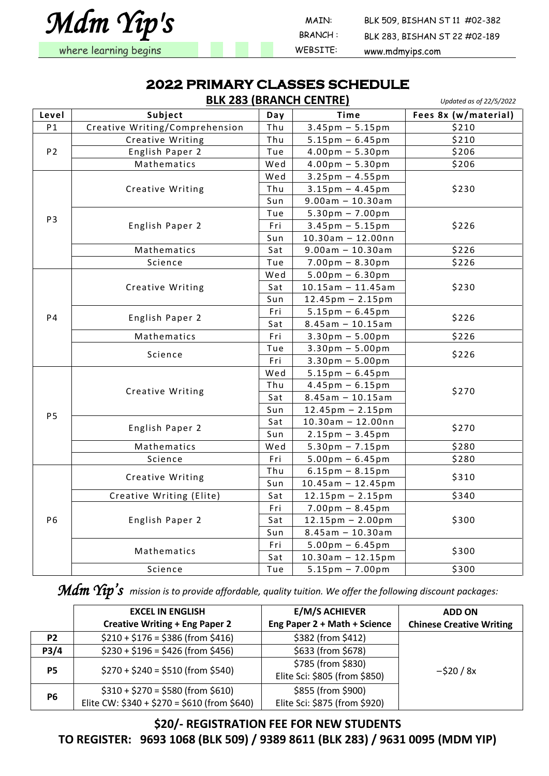

 MAIN: BLK 509, BISHAN ST 11 #02-382 BRANCH : BLK 283, BISHAN ST 22 #02-189 where learning begins and the state of the MEBSITE: www.mdmyips.com

#### **2022 PRIMARY CLASSES SCHEDULE**

|                |                                |     | <b>BLK 283 (BRANCH CENTRE)</b>     | Updated as of 22/5/2022 |
|----------------|--------------------------------|-----|------------------------------------|-------------------------|
| Level          | Subject                        | Day | Time                               | Fees 8x (w/material)    |
| P <sub>1</sub> | Creative Writing/Comprehension | Thu | $3.45 \text{pm} - 5.15 \text{pm}$  | \$210                   |
|                | Creative Writing               | Thu | $5.15 \text{pm} - 6.45 \text{pm}$  | \$210                   |
| P <sub>2</sub> | English Paper 2                | Tue | $4.00pm - 5.30pm$                  | \$206                   |
|                | Mathematics                    | Wed | $4.00pm - 5.30pm$                  | \$206                   |
|                |                                | Wed | $3.25 \text{pm} - 4.55 \text{pm}$  |                         |
|                | Creative Writing               | Thu | $3.15$ pm - 4.45pm                 | \$230                   |
|                |                                | Sun | $9.00am - 10.30am$                 |                         |
| P <sub>3</sub> |                                | Tue | $5.30pm - 7.00pm$                  |                         |
|                | English Paper 2                | Fri | $3.45$ pm $- 5.15$ pm              | \$226                   |
|                |                                | Sun | $10.30$ am - 12.00nn               |                         |
|                | Mathematics                    | Sat | $9.00am - 10.30am$                 | \$226                   |
|                | Science                        | Tue | $7.00 \text{pm} - 8.30 \text{pm}$  | \$226                   |
|                |                                | Wed | $5.00 \text{pm} - 6.30 \text{pm}$  |                         |
|                | Creative Writing               | Sat | $10.15$ am - 11.45am               | \$230                   |
|                |                                | Sun | $12.45 \text{pm} - 2.15 \text{pm}$ |                         |
| <b>P4</b>      |                                | Fri | $5.15 \text{pm} - 6.45 \text{pm}$  |                         |
|                | English Paper 2                | Sat | $8.45$ am - 10.15am                | \$226                   |
|                | Mathematics                    | Fri | $3.30pm - 5.00pm$                  | \$226                   |
|                | Science                        | Tue | $3.30pm - 5.00pm$                  | \$226                   |
|                |                                | Fri | $3.30pm - 5.00pm$                  |                         |
|                |                                | Wed | $5.15 \text{pm} - 6.45 \text{pm}$  |                         |
|                |                                | Thu | $4.45$ pm $-6.15$ pm               | \$270                   |
|                | Creative Writing               | Sat | $8.45$ am - 10.15am                |                         |
| <b>P5</b>      |                                | Sun | $12.45 \text{pm} - 2.15 \text{pm}$ |                         |
|                |                                | Sat | $10.30$ am - 12.00nn               |                         |
|                | English Paper 2                | Sun | $2.15 \text{pm} - 3.45 \text{pm}$  | \$270                   |
|                | Mathematics                    | Wed | $5.30pm - 7.15pm$                  | \$280                   |
|                | Science                        | Fri | $5.00 \text{pm} - 6.45 \text{pm}$  | \$280                   |
|                |                                | Thu | $6.15 \text{pm} - 8.15 \text{pm}$  | \$310                   |
|                | Creative Writing               | Sun | $10.45$ am - 12.45pm               |                         |
|                | Creative Writing (Elite)       | Sat | $12.15 \text{pm} - 2.15 \text{pm}$ | \$340                   |
|                |                                | Fri | $7.00pm - 8.45pm$                  |                         |
| P6             | English Paper 2                | Sat | $12.15 \text{pm} - 2.00 \text{pm}$ | \$300                   |
|                |                                | Sun | $8.45$ am - 10.30am                |                         |
|                |                                | Fri | $5.00 \text{pm} - 6.45 \text{pm}$  | \$300                   |
|                | Mathematics                    | Sat | $10.30$ am - 12.15pm               |                         |
|                | Science                        | Tue | $5.15 \text{pm} - 7.00 \text{pm}$  | \$300                   |

*Mdm Yip's mission is to provide affordable, quality tuition. We offer the following discount packages:*

|                | <b>EXCEL IN ENGLISH</b>                                                          | <b>E/M/S ACHIEVER</b>                               | <b>ADD ON</b>                   |
|----------------|----------------------------------------------------------------------------------|-----------------------------------------------------|---------------------------------|
|                | <b>Creative Writing + Eng Paper 2</b>                                            | Eng Paper 2 + Math + Science                        | <b>Chinese Creative Writing</b> |
| P <sub>2</sub> | $$210 + $176 = $386$ (from \$416)                                                | \$382 (from \$412)                                  |                                 |
| P3/4           | $$230 + $196 = $426 (from $456)$                                                 | \$633 (from \$678)                                  |                                 |
| <b>P5</b>      | $$270 + $240 = $510$ (from \$540)                                                | \$785 (from \$830)<br>Elite Sci: \$805 (from \$850) | $-520/8x$                       |
| <b>P6</b>      | $$310 + $270 = $580$ (from \$610)<br>Elite CW: $$340 + $270 = $610$ (from \$640) | \$855 (from \$900)<br>Elite Sci: \$875 (from \$920) |                                 |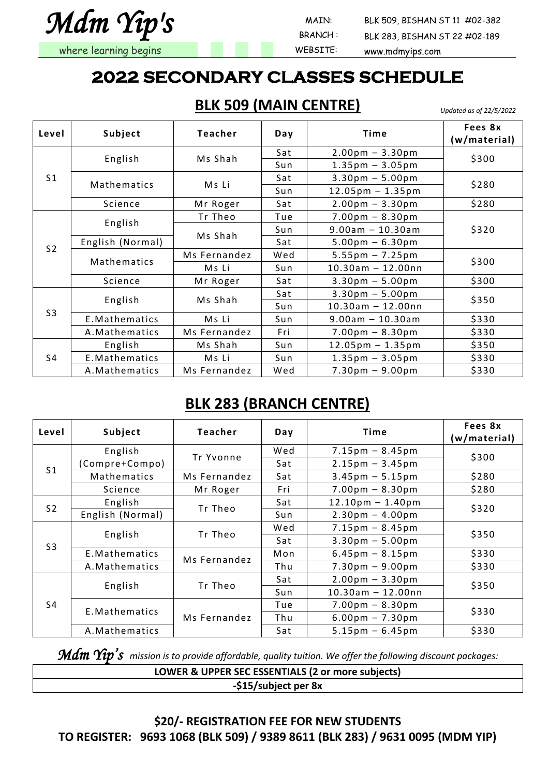

 MAIN: BLK 509, BISHAN ST 11 #02-382 BLK 283, BISHAN ST 22 #02-189

#### **2022 SECONDARY CLASSES SCHEDULE**

**BLK 509 (MAIN CENTRE)**

*Updated as of 22/5/2022*

| Level          | Subject          | <b>Teacher</b> | Day | Time                                      | Fees 8x<br>(w/material) |  |
|----------------|------------------|----------------|-----|-------------------------------------------|-------------------------|--|
|                |                  |                | Sat | $2.00 \text{pm} - 3.30 \text{pm}$         |                         |  |
|                | English          | Ms Shah        | Sun | $1.35 \text{pm} - 3.05 \text{pm}$         | \$300                   |  |
| S <sub>1</sub> |                  |                | Sat | $3.30pm - 5.00pm$                         |                         |  |
|                | Mathematics      | Ms Li          | Sun | $12.05 \text{pm} - 1.35 \text{pm}$        | \$280                   |  |
|                | Science          | Mr Roger       | Sat | $2.00 \text{pm} - 3.30 \text{pm}$         | \$280                   |  |
|                |                  | Tr Theo        | Tue | $7.00 \,\mathrm{pm} - 8.30 \,\mathrm{pm}$ |                         |  |
| S <sub>2</sub> | English          |                | Sun | $9.00$ am - 10.30am                       | \$320                   |  |
|                | English (Normal) | Ms Shah        | Sat | $5.00 \text{pm} - 6.30 \text{pm}$         |                         |  |
|                | Mathematics      | Ms Fernandez   | Wed | $5.55 \text{pm} - 7.25 \text{pm}$         | \$300                   |  |
|                |                  | Ms Li          | Sun | $10.30$ am - 12.00nn                      |                         |  |
|                | Science          | Mr Roger       | Sat | $3.30 \text{pm} - 5.00 \text{pm}$         | \$300                   |  |
|                |                  |                | Sat | $3.30 \text{pm} - 5.00 \text{pm}$         |                         |  |
|                | English          | Ms Shah        | Sun | $10.30$ am - 12.00nn                      | \$350                   |  |
| S <sub>3</sub> | E.Mathematics    | Ms Li          | Sun | $9.00am - 10.30am$                        | \$330                   |  |
|                | A. Mathematics   | Ms Fernandez   | Fri | $7.00 \,\mathrm{pm} - 8.30 \,\mathrm{pm}$ | \$330                   |  |
|                | English          | Ms Shah        | Sun | $12.05 \text{pm} - 1.35 \text{pm}$        | \$350                   |  |
| S4             | E.Mathematics    | Ms Li          | Sun | $1.35 \text{pm} - 3.05 \text{pm}$         | \$330                   |  |
|                | A. Mathematics   | Ms Fernandez   | Wed | $7.30pm - 9.00pm$                         | \$330                   |  |

#### **BLK 283 (BRANCH CENTRE)**

| Level          | Subject          | Teacher      | Day | Time                                      | Fees 8x<br>(w/material) |  |
|----------------|------------------|--------------|-----|-------------------------------------------|-------------------------|--|
|                | English          | Tr Yvonne    |     | $7.15 \text{pm} - 8.45 \text{pm}$         |                         |  |
| S <sub>1</sub> | Compre+Compo)    |              | Sat | $2.15 \text{pm} - 3.45 \text{pm}$         | \$300                   |  |
|                | Mathematics      | Ms Fernandez | Sat | $3.45 \text{pm} - 5.15 \text{pm}$         | \$280                   |  |
|                | Science          | Mr Roger     | Fri | $7.00 \text{pm} - 8.30 \text{pm}$         | \$280                   |  |
| S <sub>2</sub> | English          | Tr Theo      | Sat | $12.10 \text{pm} - 1.40 \text{pm}$        |                         |  |
|                | English (Normal) |              | Sun | $2.30pm - 4.00pm$                         | \$320                   |  |
|                | English          | Tr Theo      | Wed | $7.15 \text{pm} - 8.45 \text{pm}$         | \$350                   |  |
|                |                  |              | Sat | $3.30 \text{pm} - 5.00 \text{pm}$         |                         |  |
| S <sub>3</sub> | E.Mathematics    | Ms Fernandez | Mon | $6.45 \text{pm} - 8.15 \text{pm}$         | \$330                   |  |
|                | A. Mathematics   |              | Thu | $7.30 \text{pm} - 9.00 \text{pm}$         | \$330                   |  |
|                |                  |              | Sat | $2.00pm - 3.30pm$                         | \$350                   |  |
| S4             | English          | Tr Theo      | Sun | $10.30$ am - 12.00nn                      |                         |  |
|                | E. Mathematics   |              | Tue | $7.00 \,\mathrm{pm} - 8.30 \,\mathrm{pm}$ | \$330                   |  |
|                |                  | Ms Fernandez | Thu | $6.00 \,\mathrm{pm} - 7.30 \,\mathrm{pm}$ |                         |  |
|                | A. Mathematics   |              | Sat | $5.15 \text{pm} - 6.45 \text{pm}$         | \$330                   |  |

*Mdm Yip's mission is to provide affordable, quality tuition. We offer the following discount packages:*

| LOWER & UPPER SEC ESSENTIALS (2 or more subjects) |
|---------------------------------------------------|
| -\$15/subject per 8x                              |
|                                                   |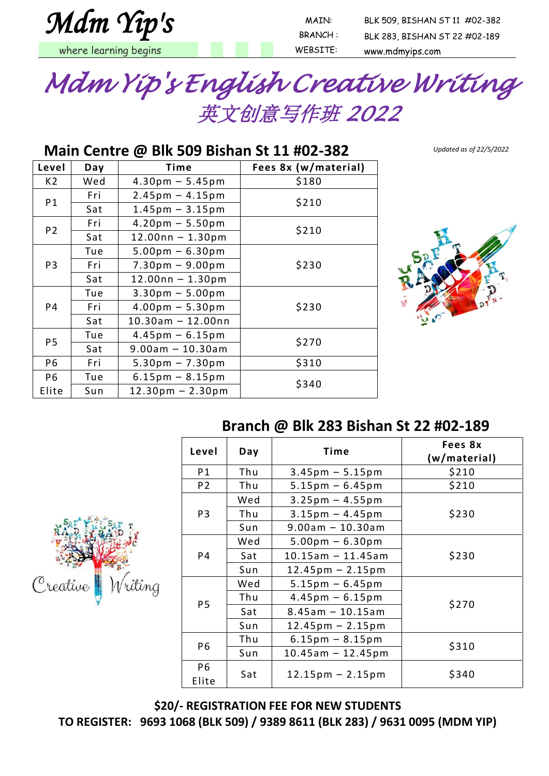

 MAIN: BLK 509, BISHAN ST 11 #02-382 BRANCH : BLK 283, BISHAN ST 22 #02-189 where learning begins and the state of the MEBSITE: www.mdmyips.com



#### **Main Centre @ Blk 509 Bishan St 11 #02-382**

**Level Day Time Fees 8x (w/material)**  $K2$  | Wed | 4.30pm – 5.45pm | \$180 P1  $\begin{array}{|c|c|c|c|c|}\n\hline\n\text{Fri} & 2.45\text{pm} - 4.15\text{pm} \\
\hline\n\text{Sat} & 1.45\text{pm} - 3.15\text{pm} \\
\hline\n\end{array}$  \$210 P2  $\begin{array}{|c|c|c|c|c|}\n\hline\n\text{Fri} & \text{4.20pm} - 5.50 \text{pm} \\
\hline\n\text{Sat} & \text{12.00nn} - 1.30 \text{pm} \\
\hline\n\end{array}$  \$210 P3 Tue |  $5.00 \text{pm} - 6.30 \text{pm}$ Fri |  $7.30 \text{pm} - 9.00 \text{pm}$  |  $\frac{\text{5230}}{2.30}$ Sat 12.00nn – 1.30pm P4 Tue  $\vert$  3.30pm – 5.00pm Fri |  $4.00 \text{pm} - 5.30 \text{pm}$  |  $\frac{230}{250}$ Sat |  $10.30$ am – 12.00nn P5  $\begin{array}{|c|c|c|c|c|}\n\hline\n\text{270} & \text{270} \\
\hline\n\text{270} & \text{270}\n\end{array}$  $P6$  Fri | 5.30pm – 7.30pm | \$310 P6 Elite  $Tue$  6.15pm – 8.15pm<br>Sun 12.30pm – 2.30pm



*Updated as of 22/5/2022*



#### **Branch @ Blk 283 Bishan St 22 #02-189**

| Level                   | Day | Time                               | Fees 8x<br>(w/material) |
|-------------------------|-----|------------------------------------|-------------------------|
| P1                      | Thu | $3.45$ pm $-5.15$ pm               | \$210                   |
| P <sub>2</sub>          | Thu | $5.15 \text{pm} - 6.45 \text{pm}$  | \$210                   |
|                         | Wed | $3.25 \text{pm} - 4.55 \text{pm}$  |                         |
| P <sub>3</sub>          | Thu | $3.15 \text{pm} - 4.45 \text{pm}$  | \$230                   |
|                         | Sun | $9.00am - 10.30am$                 |                         |
|                         | Wed | $5.00 \text{pm} - 6.30 \text{pm}$  |                         |
| P4                      | Sat | $10.15$ am - 11.45am               | \$230                   |
|                         | Sun | $12.45 \text{pm} - 2.15 \text{pm}$ |                         |
|                         | Wed | $5.15 \text{pm} - 6.45 \text{pm}$  |                         |
| <b>P5</b>               | Thu | $4.45 \text{pm} - 6.15 \text{pm}$  | \$270                   |
|                         | Sat | $8.45$ am - 10.15am                |                         |
|                         | Sun | $12.45 \text{pm} - 2.15 \text{pm}$ |                         |
| P <sub>6</sub>          | Thu | $6.15 \text{pm} - 8.15 \text{pm}$  | \$310                   |
|                         | Sun | $10.45$ am - 12.45pm               |                         |
| P <sub>6</sub><br>Elite | Sat | $12.15 \text{pm} - 2.15 \text{pm}$ | \$340                   |

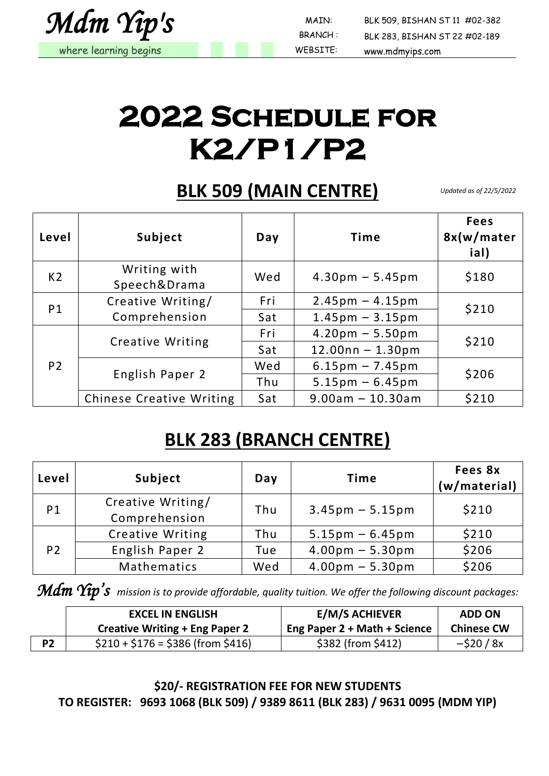

BRANCH :

 MAIN: BLK 509, BISHAN ST 11 #02-382 BLK 283, BISHAN ST 22 #02-189

## **2022 Schedule for K2/P1/P2**

#### **BLK 509 (MAIN CENTRE)**

*Updated as of 22/5/2022*

| Level          | Subject                         | Day | <b>Time</b>                       | <b>Fees</b><br>8x(w/mater<br>ial) |  |
|----------------|---------------------------------|-----|-----------------------------------|-----------------------------------|--|
| K <sub>2</sub> | Writing with<br>Speech&Drama    | Wed | $4.30pm - 5.45pm$                 | \$180                             |  |
| P <sub>1</sub> | Creative Writing/               | Fri | $2.45 \text{pm} - 4.15 \text{pm}$ | \$210                             |  |
|                | Comprehension                   | Sat | $1.45$ pm $-3.15$ pm              |                                   |  |
|                |                                 | Fri | $4.20pm - 5.50pm$                 | \$210                             |  |
|                | <b>Creative Writing</b>         | Sat | $12.00nn - 1.30pm$                |                                   |  |
| P <sub>2</sub> | English Paper 2                 | Wed | $6.15 \text{pm} - 7.45 \text{pm}$ | \$206                             |  |
|                |                                 | Thu | $5.15 \text{pm} - 6.45 \text{pm}$ |                                   |  |
|                | <b>Chinese Creative Writing</b> | Sat | $9.00$ am - 10.30am               | \$210                             |  |

### **BLK 283 (BRANCH CENTRE)**

| Level          | Subject                 | Day | <b>Time</b>                       | Fees 8x<br>(w/material) |
|----------------|-------------------------|-----|-----------------------------------|-------------------------|
| P <sub>1</sub> | Creative Writing/       | Thu | $3.45 \text{pm} - 5.15 \text{pm}$ | \$210                   |
|                | Comprehension           |     |                                   |                         |
|                | <b>Creative Writing</b> | Thu | $5.15 \text{pm} - 6.45 \text{pm}$ | \$210                   |
| P <sub>2</sub> | English Paper 2         | Tue | $4.00pm - 5.30pm$                 | \$206                   |
|                | Mathematics             | Wed | $4.00 \text{pm} - 5.30 \text{pm}$ | \$206                   |

*Mdm Yip's mission is to provide affordable, quality tuition. We offer the following discount packages:*

|                | <b>EXCEL IN ENGLISH</b>               | <b>E/M/S ACHIEVER</b>        | <b>ADD ON</b>     |
|----------------|---------------------------------------|------------------------------|-------------------|
|                | <b>Creative Writing + Eng Paper 2</b> | Eng Paper 2 + Math + Science | <b>Chinese CW</b> |
| P <sub>2</sub> | $$210 + $176 = $386$ (from \$416)     | \$382 (from \$412)           | $-$ \$20 / 8x     |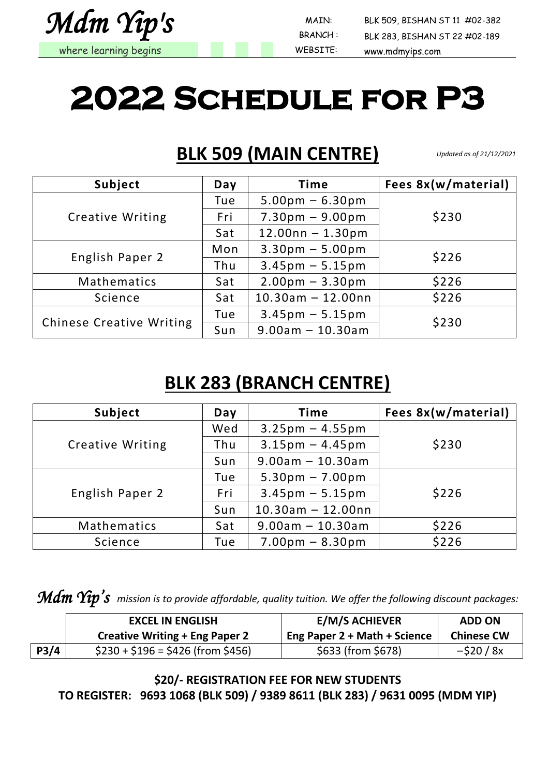

BRANCH :

 MAIN: BLK 509, BISHAN ST 11 #02-382 BLK 283, BISHAN ST 22 #02-189

# **2022 Schedule for P3**

#### **BLK 509 (MAIN CENTRE)**

*Updated as of 21/12/2021*

| Subject                         | Day | <b>Time</b>                       | Fees 8x(w/material) |
|---------------------------------|-----|-----------------------------------|---------------------|
|                                 | Tue | $5.00 \text{pm} - 6.30 \text{pm}$ |                     |
| <b>Creative Writing</b>         | Fri | $7.30pm - 9.00pm$                 | \$230               |
|                                 | Sat | $12.00nn - 1.30pm$                |                     |
| English Paper 2                 | Mon | $3.30pm - 5.00pm$                 | \$226               |
|                                 | Thu | $3.45$ pm $- 5.15$ pm             |                     |
| Mathematics                     | Sat | $2.00pm - 3.30pm$                 | \$226               |
| Science                         | Sat | $10.30$ am - 12.00nn              | \$226               |
|                                 | Tue | $3.45 \text{pm} - 5.15 \text{pm}$ |                     |
| <b>Chinese Creative Writing</b> | Sun | $9.00$ am - 10.30am               | \$230               |

#### **BLK 283 (BRANCH CENTRE)**

| Subject                 | Day | <b>Time</b>                       | Fees 8x(w/material) |
|-------------------------|-----|-----------------------------------|---------------------|
|                         | Wed | $3.25 \text{pm} - 4.55 \text{pm}$ |                     |
| <b>Creative Writing</b> | Thu | $3.15 \text{pm} - 4.45 \text{pm}$ | \$230               |
|                         | Sun | $9.00am - 10.30am$                |                     |
|                         | Tue | $5.30pm - 7.00pm$                 |                     |
| English Paper 2         | Fri | $3.45 \text{pm} - 5.15 \text{pm}$ | \$226               |
|                         | Sun | $10.30$ am - 12.00nn              |                     |
| Mathematics             | Sat | $9.00$ am - 10.30am               | \$226               |
| Science                 | Tue | $7.00pm - 8.30pm$                 | \$226               |

*Mdm Yip's mission is to provide affordable, quality tuition. We offer the following discount packages:*

|      | <b>EXCEL IN ENGLISH</b>               | <b>E/M/S ACHIEVER</b>        | <b>ADD ON</b>     |
|------|---------------------------------------|------------------------------|-------------------|
|      | <b>Creative Writing + Eng Paper 2</b> | Eng Paper 2 + Math + Science | <b>Chinese CW</b> |
| P3/4 | $$230 + $196 = $426$ (from \$456)     | \$633 (from \$678)           | $-$ \$20 / 8x     |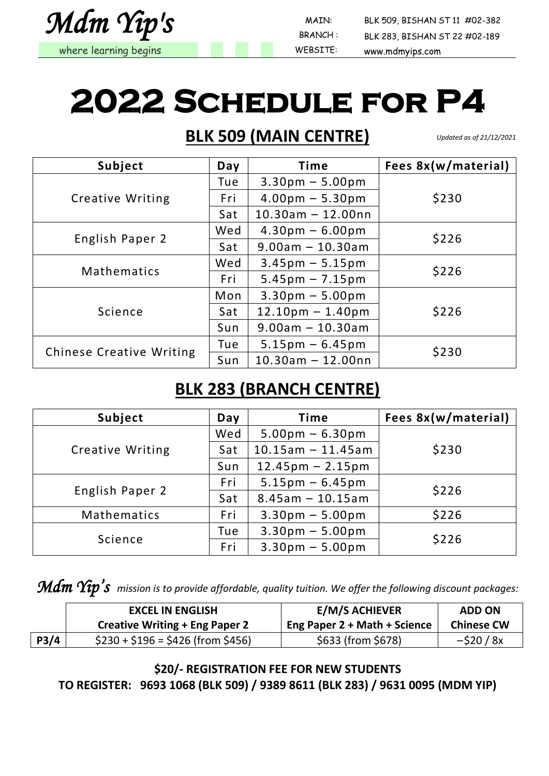

BRANCH :

 MAIN: BLK 509, BISHAN ST 11 #02-382 BLK 283, BISHAN ST 22 #02-189

# **2022 Schedule for P4**

#### **BLK 509 (MAIN CENTRE)**

*Updated as of 21/12/2021*

| Subject                         | Day | <b>Time</b>                       | Fees 8x(w/material) |
|---------------------------------|-----|-----------------------------------|---------------------|
|                                 | Tue | $3.30pm - 5.00pm$                 |                     |
| <b>Creative Writing</b>         | Fri | $4.00 \text{pm} - 5.30 \text{pm}$ | \$230               |
|                                 | Sat | $10.30$ am - 12.00nn              |                     |
| English Paper 2                 | Wed | $4.30pm - 6.00pm$                 | \$226               |
|                                 | Sat | $9.00am - 10.30am$                |                     |
|                                 | Wed | $3.45 \text{pm} - 5.15 \text{pm}$ | \$226               |
| Mathematics                     | Fri | $5.45 \text{pm} - 7.15 \text{pm}$ |                     |
|                                 | Mon | $3.30pm - 5.00pm$                 |                     |
| Science                         | Sat | $12.10pm - 1.40pm$                | \$226               |
|                                 | Sun | $9.00am - 10.30am$                |                     |
|                                 | Tue | $5.15 \text{pm} - 6.45 \text{pm}$ | \$230               |
| <b>Chinese Creative Writing</b> | Sun | $10.30$ am - 12.00nn              |                     |

#### **BLK 283 (BRANCH CENTRE)**

| Subject                 | Day | <b>Time</b>                        | Fees 8x(w/material) |
|-------------------------|-----|------------------------------------|---------------------|
|                         | Wed | $5.00 \text{pm} - 6.30 \text{pm}$  |                     |
| <b>Creative Writing</b> | Sat | $10.15$ am - 11.45am               | \$230               |
|                         | Sun | $12.45 \text{pm} - 2.15 \text{pm}$ |                     |
|                         | Fri | $5.15 \text{pm} - 6.45 \text{pm}$  | \$226               |
| English Paper 2         | Sat | $8.45$ am - 10.15am                |                     |
| Mathematics             | Fri | $3.30pm - 5.00pm$                  | \$226               |
|                         | Tue | $3.30pm - 5.00pm$                  |                     |
| Science                 | Fri | $3.30pm - 5.00pm$                  | \$226               |

*Mdm Yip's mission is to provide affordable, quality tuition. We offer the following discount packages:*

|      | <b>EXCEL IN ENGLISH</b>               | <b>E/M/S ACHIEVER</b>        | <b>ADD ON</b>     |
|------|---------------------------------------|------------------------------|-------------------|
|      | <b>Creative Writing + Eng Paper 2</b> | Eng Paper 2 + Math + Science | <b>Chinese CW</b> |
| P3/4 | $$230 + $196 = $426$ (from \$456)     | \$633 (from \$678)           | $-$ \$20 / 8x     |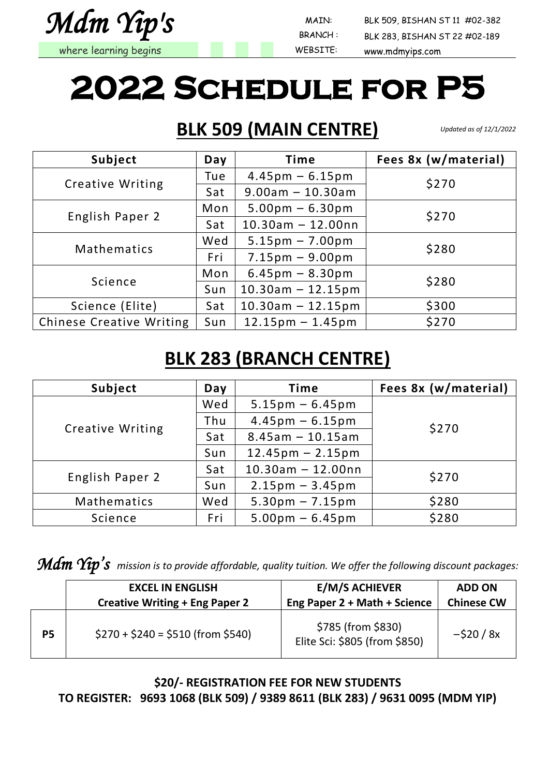

BRANCH :

 MAIN: BLK 509, BISHAN ST 11 #02-382 BLK 283, BISHAN ST 22 #02-189

# **2022 Schedule for P5**

### **BLK 509 (MAIN CENTRE)**

*Updated as of 12/1/2022*

| Subject                         | Day | <b>Time</b>                        | Fees 8x (w/material) |  |  |
|---------------------------------|-----|------------------------------------|----------------------|--|--|
|                                 | Tue | $4.45 \text{pm} - 6.15 \text{pm}$  |                      |  |  |
| <b>Creative Writing</b>         | Sat | $9.00am - 10.30am$                 | \$270                |  |  |
|                                 | Mon | $5.00 \text{pm} - 6.30 \text{pm}$  | \$270                |  |  |
| English Paper 2                 | Sat | $10.30$ am - 12.00nn               |                      |  |  |
| <b>Mathematics</b>              | Wed | $5.15 \text{pm} - 7.00 \text{pm}$  |                      |  |  |
|                                 | Fri | $7.15 \text{pm} - 9.00 \text{pm}$  | \$280                |  |  |
|                                 | Mon | $6.45 \text{pm} - 8.30 \text{pm}$  | \$280                |  |  |
| Science                         | Sun | $10.30$ am - 12.15pm               |                      |  |  |
| Science (Elite)                 | Sat | $10.30$ am - 12.15pm               | \$300                |  |  |
| <b>Chinese Creative Writing</b> | Sun | $12.15 \text{pm} - 1.45 \text{pm}$ | \$270                |  |  |

### **BLK 283 (BRANCH CENTRE)**

| Subject                 | Day | <b>Time</b>                        | Fees 8x (w/material) |
|-------------------------|-----|------------------------------------|----------------------|
|                         | Wed | $5.15 \text{pm} - 6.45 \text{pm}$  |                      |
|                         | Thu | $4.45 \text{pm} - 6.15 \text{pm}$  | \$270                |
| <b>Creative Writing</b> | Sat | $8.45$ am - 10.15am                |                      |
|                         | Sun | $12.45 \text{pm} - 2.15 \text{pm}$ |                      |
|                         | Sat | $10.30$ am - 12.00nn               |                      |
| English Paper 2         | Sun | $2.15 \text{pm} - 3.45 \text{pm}$  | \$270                |
| Mathematics             | Wed | $5.30pm - 7.15pm$                  | \$280                |
| Science                 | Fri | $5.00 \text{pm} - 6.45 \text{pm}$  | \$280                |

*Mdm Yip's mission is to provide affordable, quality tuition. We offer the following discount packages:*

|           | <b>EXCEL IN ENGLISH</b>               | <b>E/M/S ACHIEVER</b>                               | <b>ADD ON</b>     |
|-----------|---------------------------------------|-----------------------------------------------------|-------------------|
|           | <b>Creative Writing + Eng Paper 2</b> | Eng Paper 2 + Math + Science                        | <b>Chinese CW</b> |
| <b>P5</b> | $$270 + $240 = $510$ (from \$540)     | \$785 (from \$830)<br>Elite Sci: \$805 (from \$850) | $-520/8x$         |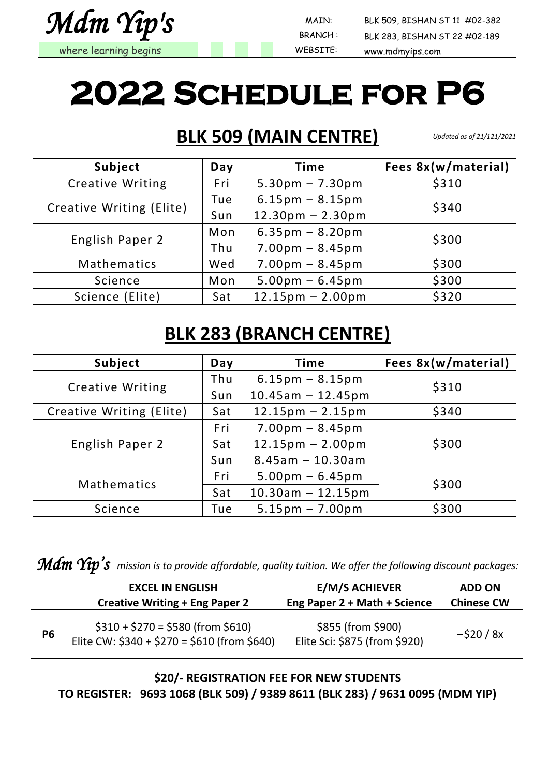

BRANCH :

 MAIN: BLK 509, BISHAN ST 11 #02-382 BLK 283, BISHAN ST 22 #02-189

# **2022 Schedule for P6**

#### **BLK 509 (MAIN CENTRE)**

*Updated as of 21/121/2021*

| Subject                  | Day | <b>Time</b>                        | Fees 8x(w/material) |
|--------------------------|-----|------------------------------------|---------------------|
| <b>Creative Writing</b>  | Fri | $5.30pm - 7.30pm$                  | \$310               |
|                          | Tue | $6.15 \text{pm} - 8.15 \text{pm}$  | \$340               |
| Creative Writing (Elite) | Sun | $12.30pm - 2.30pm$                 |                     |
|                          | Mon | $6.35 \text{pm} - 8.20 \text{pm}$  |                     |
| English Paper 2          | Thu | $7.00pm - 8.45pm$                  | \$300               |
| Mathematics              | Wed | $7.00pm - 8.45pm$                  | \$300               |
| Science                  | Mon | $5.00 \text{pm} - 6.45 \text{pm}$  | \$300               |
| Science (Elite)          | Sat | $12.15 \text{pm} - 2.00 \text{pm}$ | \$320               |

### **BLK 283 (BRANCH CENTRE)**

| Subject                  | Day | <b>Time</b>                        | Fees 8x(w/material) |
|--------------------------|-----|------------------------------------|---------------------|
|                          | Thu | $6.15 \text{pm} - 8.15 \text{pm}$  | \$310               |
| <b>Creative Writing</b>  | Sun | $10.45$ am - 12.45pm               |                     |
| Creative Writing (Elite) | Sat | $12.15 \text{pm} - 2.15 \text{pm}$ | \$340               |
| English Paper 2          | Fri | $7.00pm - 8.45pm$                  |                     |
|                          | Sat | $12.15 \text{pm} - 2.00 \text{pm}$ | \$300               |
|                          | Sun | $8.45$ am - 10.30am                |                     |
| Mathematics              | Fri | $5.00 \text{pm} - 6.45 \text{pm}$  | \$300               |
|                          | Sat | $10.30$ am - 12.15pm               |                     |
| Science                  | Tue | $5.15 \text{pm} - 7.00 \text{pm}$  | \$300               |

*Mdm Yip's mission is to provide affordable, quality tuition. We offer the following discount packages:*

|           | <b>EXCEL IN ENGLISH</b>                                                           | <b>E/M/S ACHIEVER</b>                               | <b>ADD ON</b>     |
|-----------|-----------------------------------------------------------------------------------|-----------------------------------------------------|-------------------|
|           | <b>Creative Writing + Eng Paper 2</b>                                             | Eng Paper 2 + Math + Science                        | <b>Chinese CW</b> |
| <b>P6</b> | $$310 + $270 = $580$ (from \$610)<br>Elite CW: \$340 + \$270 = \$610 (from \$640) | \$855 (from \$900)<br>Elite Sci: \$875 (from \$920) | $-520/8x$         |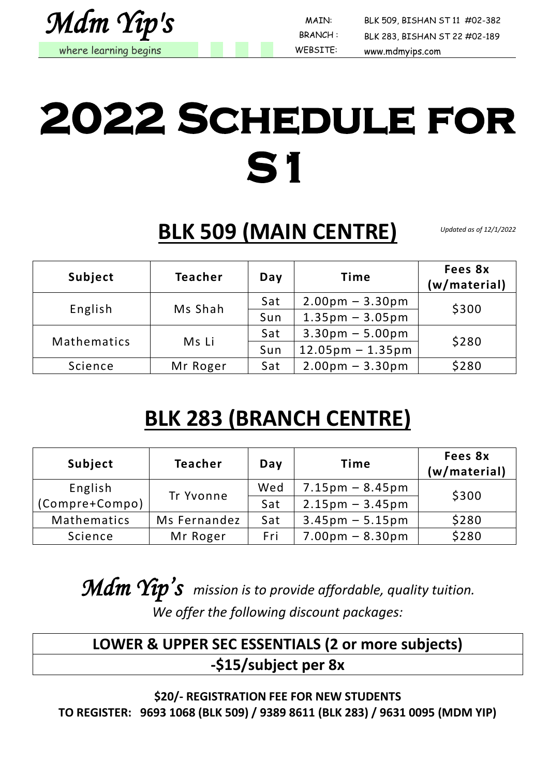

BRANCH :

 MAIN: BLK 509, BISHAN ST 11 #02-382 BLK 283, BISHAN ST 22 #02-189

# **2022 Schedule for S1**

**BLK 509 (MAIN CENTRE)**

*Updated as of 12/1/2022*

| Subject     | <b>Teacher</b> | Day | <b>Time</b>                        | Fees 8x<br>(w/material) |  |
|-------------|----------------|-----|------------------------------------|-------------------------|--|
| Ms Shah     |                | Sat | $2.00 \text{pm} - 3.30 \text{pm}$  | \$300                   |  |
| English     |                | Sun | $1.35$ pm - 3.05pm                 |                         |  |
| Mathematics |                | Sat | $3.30pm - 5.00pm$                  | \$280                   |  |
|             | Ms Li          | Sun | $12.05 \text{pm} - 1.35 \text{pm}$ |                         |  |
| Science     | Mr Roger       | Sat | $2.00pm - 3.30pm$                  | \$280                   |  |

### **BLK 283 (BRANCH CENTRE)**

| Subject        | <b>Teacher</b> | Day | <b>Time</b>                       | Fees 8x<br>(w/material) |
|----------------|----------------|-----|-----------------------------------|-------------------------|
| English        | Tr Yvonne      | Wed | $7.15 \text{pm} - 8.45 \text{pm}$ | \$300                   |
| (Compre+Compo) |                | Sat | $2.15 \text{pm} - 3.45 \text{pm}$ |                         |
| Mathematics    | Ms Fernandez   | Sat | $3.45 \text{pm} - 5.15 \text{pm}$ | \$280                   |
| Science        | Mr Roger       | Fri | $7.00 \text{pm} - 8.30 \text{pm}$ | \$280                   |

*Mdm Yip's mission is to provide affordable, quality tuition. We offer the following discount packages:*

#### **LOWER & UPPER SEC ESSENTIALS (2 or more subjects) -\$15/subject per 8x**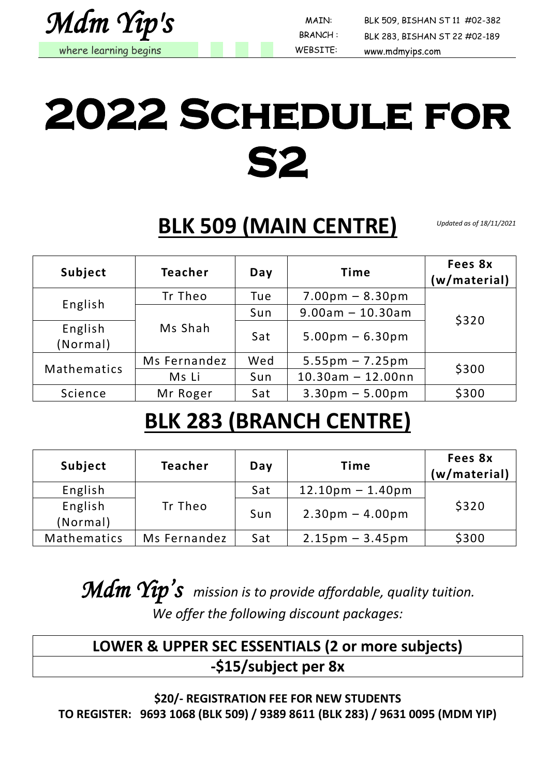

BRANCH :

 MAIN: BLK 509, BISHAN ST 11 #02-382 BLK 283, BISHAN ST 22 #02-189

# **2022 Schedule for S2**

**BLK 509 (MAIN CENTRE)**

*Updated as of 18/11/2021*

| Subject             | Teacher      | Day | <b>Time</b>                       | Fees 8x<br>(w/material) |
|---------------------|--------------|-----|-----------------------------------|-------------------------|
|                     | Tr Theo      | Tue | $7.00pm - 8.30pm$                 |                         |
| English             |              | Sun | $9.00am - 10.30am$                | \$320                   |
| English<br>(Normal) | Ms Shah      | Sat | $5.00 \text{pm} - 6.30 \text{pm}$ |                         |
| Mathematics         | Ms Fernandez | Wed | $5.55 \text{pm} - 7.25 \text{pm}$ | \$300                   |
|                     | Ms Li        | Sun | $10.30$ am - 12.00nn              |                         |
| Science             | Mr Roger     | Sat | $3.30pm - 5.00pm$                 | \$300                   |

## **BLK 283 (BRANCH CENTRE)**

| Subject             | <b>Teacher</b> | Day | <b>Time</b>                       | Fees 8x<br>(w/material) |
|---------------------|----------------|-----|-----------------------------------|-------------------------|
| English             | Tr Theo        | Sat | $12.10pm - 1.40pm$                | \$320                   |
| English<br>(Normal) |                | Sun | $2.30pm - 4.00pm$                 |                         |
| Mathematics         | Ms Fernandez   | Sat | $2.15 \text{pm} - 3.45 \text{pm}$ | \$300                   |

*Mdm Yip's mission is to provide affordable, quality tuition. We offer the following discount packages:*

#### **LOWER & UPPER SEC ESSENTIALS (2 or more subjects) -\$15/subject per 8x**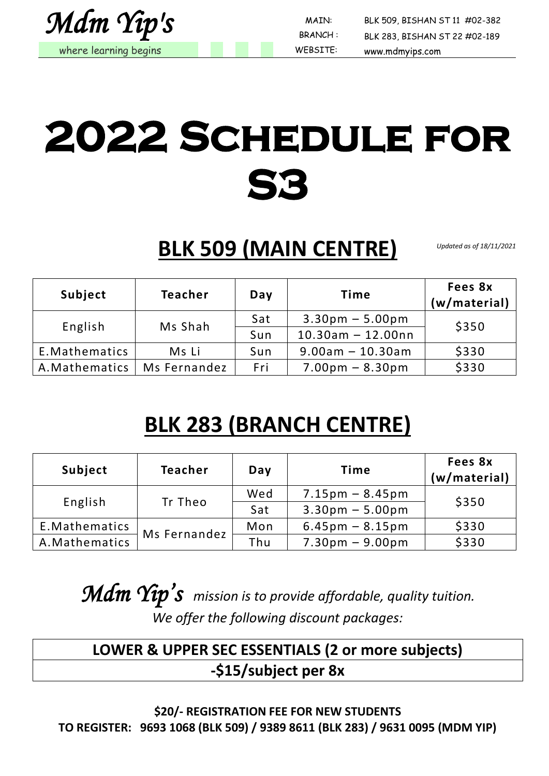

 MAIN: BLK 509, BISHAN ST 11 #02-382 BLK 283, BISHAN ST 22 #02-189

# **2022 Schedule for S3**

**BLK 509 (MAIN CENTRE)**

*Updated as of 18/11/2021*

| Subject        | <b>Teacher</b> | Day | Time                 | Fees 8x<br>(w/material) |
|----------------|----------------|-----|----------------------|-------------------------|
| English        | Ms Shah        | Sat | $3.30pm - 5.00pm$    | \$350                   |
|                |                | Sun | $10.30$ am - 12.00nn |                         |
| E. Mathematics | Ms Li          | Sun | $9.00$ am - 10.30am  | \$330                   |
| A. Mathematics | Ms Fernandez   | Fri | $7.00pm - 8.30pm$    | \$330                   |

## **BLK 283 (BRANCH CENTRE)**

| Subject        | <b>Teacher</b> | Day | Time                              | Fees 8x<br>(w/material) |
|----------------|----------------|-----|-----------------------------------|-------------------------|
| English        | Tr Theo        | Wed | $7.15 \text{pm} - 8.45 \text{pm}$ | \$350                   |
|                |                | Sat | $3.30pm - 5.00pm$                 |                         |
| E.Mathematics  | Ms Fernandez   | Mon | $6.45 \text{pm} - 8.15 \text{pm}$ | \$330                   |
| A. Mathematics |                | Thu | $7.30pm - 9.00pm$                 | \$330                   |

*Mdm Yip's mission is to provide affordable, quality tuition. We offer the following discount packages:*

#### **LOWER & UPPER SEC ESSENTIALS (2 or more subjects) -\$15/subject per 8x**